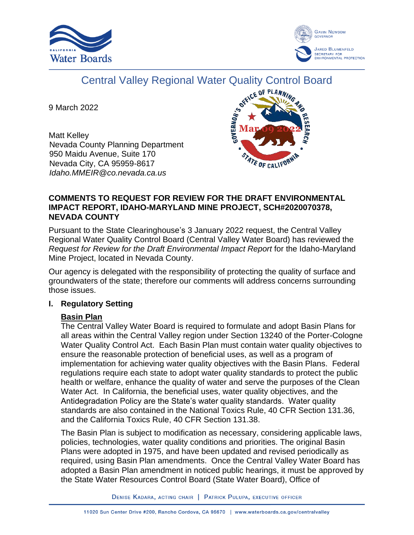



# Central Valley Regional Water Quality Control Board

9 March 2022

Matt Kelley Nevada County Planning Department 950 Maidu Avenue, Suite 170 Nevada City, CA 95959-8617 *Idaho.MMEIR@co.nevada.ca.us*



## **COMMENTS TO REQUEST FOR REVIEW FOR THE DRAFT ENVIRONMENTAL IMPACT REPORT, IDAHO-MARYLAND MINE PROJECT, SCH#2020070378, NEVADA COUNTY**

Pursuant to the State Clearinghouse's 3 January 2022 request, the Central Valley Regional Water Quality Control Board (Central Valley Water Board) has reviewed the *Request for Review for the Draft Environmental Impact Report* for the Idaho-Maryland Mine Project, located in Nevada County.

Our agency is delegated with the responsibility of protecting the quality of surface and groundwaters of the state; therefore our comments will address concerns surrounding those issues.

# **I. Regulatory Setting**

# **Basin Plan**

The Central Valley Water Board is required to formulate and adopt Basin Plans for all areas within the Central Valley region under Section 13240 of the Porter-Cologne Water Quality Control Act. Each Basin Plan must contain water quality objectives to ensure the reasonable protection of beneficial uses, as well as a program of implementation for achieving water quality objectives with the Basin Plans. Federal regulations require each state to adopt water quality standards to protect the public health or welfare, enhance the quality of water and serve the purposes of the Clean Water Act. In California, the beneficial uses, water quality objectives, and the Antidegradation Policy are the State's water quality standards. Water quality standards are also contained in the National Toxics Rule, 40 CFR Section 131.36, and the California Toxics Rule, 40 CFR Section 131.38.

The Basin Plan is subject to modification as necessary, considering applicable laws, policies, technologies, water quality conditions and priorities. The original Basin Plans were adopted in 1975, and have been updated and revised periodically as required, using Basin Plan amendments. Once the Central Valley Water Board has adopted a Basin Plan amendment in noticed public hearings, it must be approved by the State Water Resources Control Board (State Water Board), Office of

DENISE KADARA, ACTING CHAIR | PATRICK PULUPA, EXECUTIVE OFFICER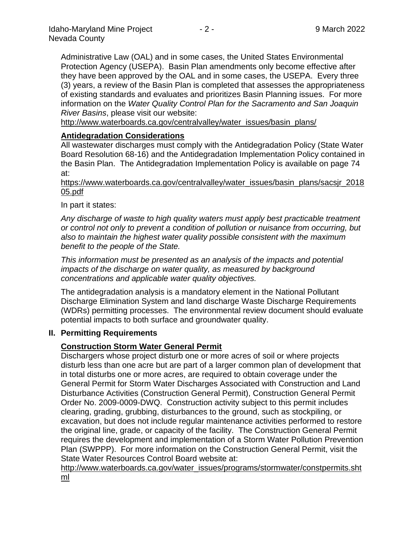Administrative Law (OAL) and in some cases, the United States Environmental Protection Agency (USEPA). Basin Plan amendments only become effective after they have been approved by the OAL and in some cases, the USEPA. Every three (3) years, a review of the Basin Plan is completed that assesses the appropriateness of existing standards and evaluates and prioritizes Basin Planning issues. For more information on the *Water Quality Control Plan for the Sacramento and San Joaquin River Basins*, please visit our website:

[http://www.waterboards.ca.gov/centralvalley/water\\_issues/basin\\_plans/](http://www.waterboards.ca.gov/centralvalley/water_issues/basin_plans/)

# **Antidegradation Considerations**

All wastewater discharges must comply with the Antidegradation Policy (State Water Board Resolution 68-16) and the Antidegradation Implementation Policy contained in the Basin Plan. The Antidegradation Implementation Policy is available on page 74 at:

https://www.waterboards.ca.gov/centralvalley/water\_issues/basin\_plans/sacsjr\_2018 05.pdf

In part it states:

*Any discharge of waste to high quality waters must apply best practicable treatment or control not only to prevent a condition of pollution or nuisance from occurring, but also to maintain the highest water quality possible consistent with the maximum benefit to the people of the State.*

*This information must be presented as an analysis of the impacts and potential impacts of the discharge on water quality, as measured by background concentrations and applicable water quality objectives.*

The antidegradation analysis is a mandatory element in the National Pollutant Discharge Elimination System and land discharge Waste Discharge Requirements (WDRs) permitting processes. The environmental review document should evaluate potential impacts to both surface and groundwater quality.

#### **II. Permitting Requirements**

#### **Construction Storm Water General Permit**

Dischargers whose project disturb one or more acres of soil or where projects disturb less than one acre but are part of a larger common plan of development that in total disturbs one or more acres, are required to obtain coverage under the General Permit for Storm Water Discharges Associated with Construction and Land Disturbance Activities (Construction General Permit), Construction General Permit Order No. 2009-0009-DWQ. Construction activity subject to this permit includes clearing, grading, grubbing, disturbances to the ground, such as stockpiling, or excavation, but does not include regular maintenance activities performed to restore the original line, grade, or capacity of the facility. The Construction General Permit requires the development and implementation of a Storm Water Pollution Prevention Plan (SWPPP). For more information on the Construction General Permit, visit the State Water Resources Control Board website at:

[http://www.waterboards.ca.gov/water\\_issues/programs/stormwater/constpermits.sht](http://www.waterboards.ca.gov/water_issues/programs/stormwater/constpermits.shtml) [ml](http://www.waterboards.ca.gov/water_issues/programs/stormwater/constpermits.shtml)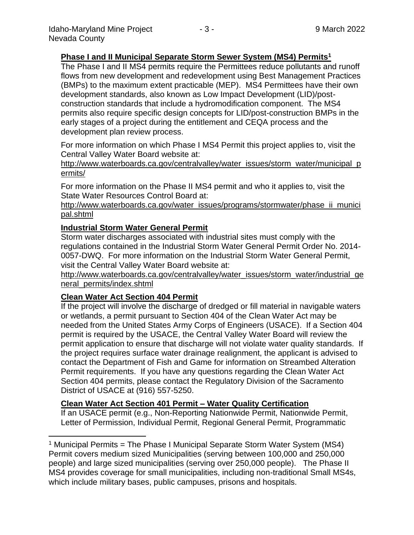## **Phase I and II Municipal Separate Storm Sewer System (MS4) Permits<sup>1</sup>**

The Phase I and II MS4 permits require the Permittees reduce pollutants and runoff flows from new development and redevelopment using Best Management Practices (BMPs) to the maximum extent practicable (MEP). MS4 Permittees have their own development standards, also known as Low Impact Development (LID)/postconstruction standards that include a hydromodification component. The MS4 permits also require specific design concepts for LID/post-construction BMPs in the early stages of a project during the entitlement and CEQA process and the development plan review process.

For more information on which Phase I MS4 Permit this project applies to, visit the Central Valley Water Board website at:

http://www.waterboards.ca.gov/centralvalley/water\_issues/storm\_water/municipal\_p ermits/

For more information on the Phase II MS4 permit and who it applies to, visit the State Water Resources Control Board at:

http://www.waterboards.ca.gov/water\_issues/programs/stormwater/phase\_ii\_munici pal.shtml

#### **Industrial Storm Water General Permit**

Storm water discharges associated with industrial sites must comply with the regulations contained in the Industrial Storm Water General Permit Order No. 2014- 0057-DWQ. For more information on the Industrial Storm Water General Permit, visit the Central Valley Water Board website at:

http://www.waterboards.ca.gov/centralvalley/water\_issues/storm\_water/industrial\_ge neral\_permits/index.shtml

#### **Clean Water Act Section 404 Permit**

If the project will involve the discharge of dredged or fill material in navigable waters or wetlands, a permit pursuant to Section 404 of the Clean Water Act may be needed from the United States Army Corps of Engineers (USACE). If a Section 404 permit is required by the USACE, the Central Valley Water Board will review the permit application to ensure that discharge will not violate water quality standards. If the project requires surface water drainage realignment, the applicant is advised to contact the Department of Fish and Game for information on Streambed Alteration Permit requirements. If you have any questions regarding the Clean Water Act Section 404 permits, please contact the Regulatory Division of the Sacramento District of USACE at (916) 557-5250.

#### **Clean Water Act Section 401 Permit – Water Quality Certification**

If an USACE permit (e.g., Non-Reporting Nationwide Permit, Nationwide Permit, Letter of Permission, Individual Permit, Regional General Permit, Programmatic

<sup>&</sup>lt;sup>1</sup> Municipal Permits = The Phase I Municipal Separate Storm Water System (MS4) Permit covers medium sized Municipalities (serving between 100,000 and 250,000 people) and large sized municipalities (serving over 250,000 people). The Phase II MS4 provides coverage for small municipalities, including non-traditional Small MS4s, which include military bases, public campuses, prisons and hospitals.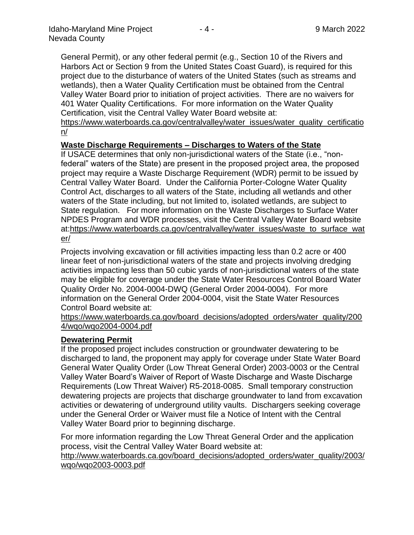General Permit), or any other federal permit (e.g., Section 10 of the Rivers and Harbors Act or Section 9 from the United States Coast Guard), is required for this project due to the disturbance of waters of the United States (such as streams and wetlands), then a Water Quality Certification must be obtained from the Central Valley Water Board prior to initiation of project activities. There are no waivers for 401 Water Quality Certifications. For more information on the Water Quality Certification, visit the Central Valley Water Board website at:

https://www.waterboards.ca.gov/centralvalley/water\_issues/water\_quality\_certificatio n/

## **Waste Discharge Requirements – Discharges to Waters of the State**

If USACE determines that only non-jurisdictional waters of the State (i.e., "nonfederal" waters of the State) are present in the proposed project area, the proposed project may require a Waste Discharge Requirement (WDR) permit to be issued by Central Valley Water Board. Under the California Porter-Cologne Water Quality Control Act, discharges to all waters of the State, including all wetlands and other waters of the State including, but not limited to, isolated wetlands, are subject to State regulation. For more information on the Waste Discharges to Surface Water NPDES Program and WDR processes, visit the Central Valley Water Board website at:https://www.waterboards.ca.gov/centralvalley/water\_issues/waste\_to\_surface\_wat er/

Projects involving excavation or fill activities impacting less than 0.2 acre or 400 linear feet of non-jurisdictional waters of the state and projects involving dredging activities impacting less than 50 cubic yards of non-jurisdictional waters of the state may be eligible for coverage under the State Water Resources Control Board Water Quality Order No. 2004-0004-DWQ (General Order 2004-0004). For more information on the General Order 2004-0004, visit the State Water Resources Control Board website at:

https://www.waterboards.ca.gov/board\_decisions/adopted\_orders/water\_quality/200 4/wqo/wqo2004-0004.pdf

#### **Dewatering Permit**

If the proposed project includes construction or groundwater dewatering to be discharged to land, the proponent may apply for coverage under State Water Board General Water Quality Order (Low Threat General Order) 2003-0003 or the Central Valley Water Board's Waiver of Report of Waste Discharge and Waste Discharge Requirements (Low Threat Waiver) R5-2018-0085. Small temporary construction dewatering projects are projects that discharge groundwater to land from excavation activities or dewatering of underground utility vaults. Dischargers seeking coverage under the General Order or Waiver must file a Notice of Intent with the Central Valley Water Board prior to beginning discharge.

For more information regarding the Low Threat General Order and the application process, visit the Central Valley Water Board website at:

http://www.waterboards.ca.gov/board decisions/adopted orders/water quality/2003/ wqo/wqo2003-0003.pdf